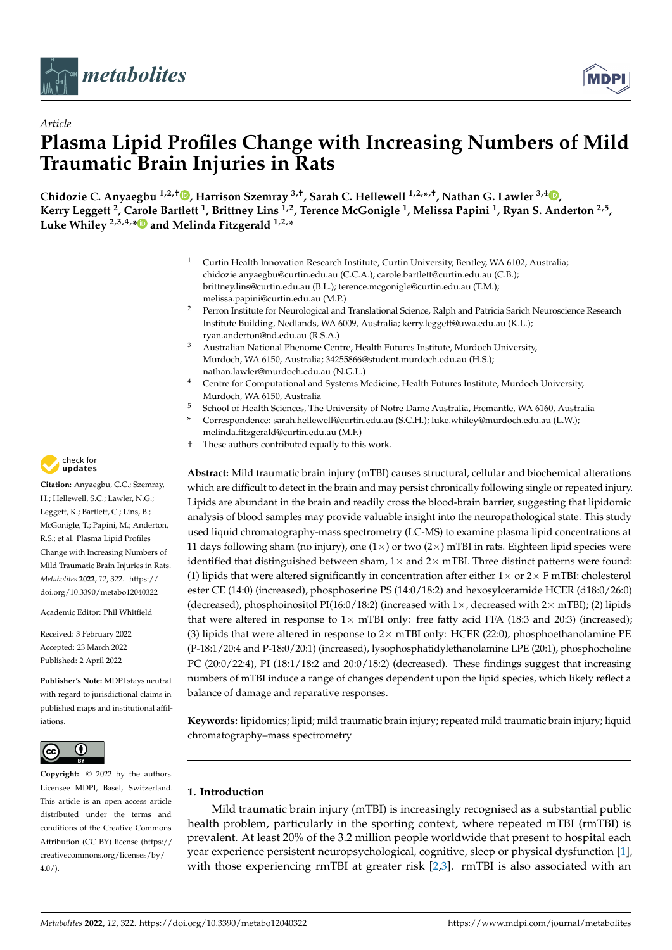



# *Article* **Plasma Lipid Profiles Change with Increasing Numbers of Mild Traumatic Brain Injuries in Rats**

**Chidozie C. Anyaegbu 1,2,† [,](https://orcid.org/0000-0002-0618-3173) Harrison Szemray 3,†, Sarah C. Hellewell 1,2,\* ,†, Nathan G. Lawler 3,4 [,](https://orcid.org/0000-0001-9649-425X) Kerry Leggett <sup>2</sup> , Carole Bartlett <sup>1</sup> , Brittney Lins 1,2, Terence McGonigle <sup>1</sup> , Melissa Papini <sup>1</sup> , Ryan S. Anderton 2,5 , Luke Whiley 2,3,4,[\\*](https://orcid.org/0000-0002-9088-4799) and Melinda Fitzgerald 1,2,\***

- <sup>1</sup> Curtin Health Innovation Research Institute, Curtin University, Bentley, WA 6102, Australia; chidozie.anyaegbu@curtin.edu.au (C.C.A.); carole.bartlett@curtin.edu.au (C.B.); brittney.lins@curtin.edu.au (B.L.); terence.mcgonigle@curtin.edu.au (T.M.); melissa.papini@curtin.edu.au (M.P.)
- <sup>2</sup> Perron Institute for Neurological and Translational Science, Ralph and Patricia Sarich Neuroscience Research Institute Building, Nedlands, WA 6009, Australia; kerry.leggett@uwa.edu.au (K.L.); ryan.anderton@nd.edu.au (R.S.A.)
- <sup>3</sup> Australian National Phenome Centre, Health Futures Institute, Murdoch University, Murdoch, WA 6150, Australia; 34255866@student.murdoch.edu.au (H.S.); nathan.lawler@murdoch.edu.au (N.G.L.)
- <sup>4</sup> Centre for Computational and Systems Medicine, Health Futures Institute, Murdoch University, Murdoch, WA 6150, Australia
- <sup>5</sup> School of Health Sciences, The University of Notre Dame Australia, Fremantle, WA 6160, Australia
- **\*** Correspondence: sarah.hellewell@curtin.edu.au (S.C.H.); luke.whiley@murdoch.edu.au (L.W.); melinda.fitzgerald@curtin.edu.au (M.F.)
- † These authors contributed equally to this work.

**Abstract:** Mild traumatic brain injury (mTBI) causes structural, cellular and biochemical alterations which are difficult to detect in the brain and may persist chronically following single or repeated injury. Lipids are abundant in the brain and readily cross the blood-brain barrier, suggesting that lipidomic analysis of blood samples may provide valuable insight into the neuropathological state. This study used liquid chromatography-mass spectrometry (LC-MS) to examine plasma lipid concentrations at 11 days following sham (no injury), one  $(1\times)$  or two  $(2\times)$  mTBI in rats. Eighteen lipid species were identified that distinguished between sham,  $1\times$  and  $2\times$  mTBI. Three distinct patterns were found: (1) lipids that were altered significantly in concentration after either  $1\times$  or  $2\times$  F mTBI: cholesterol ester CE (14:0) (increased), phosphoserine PS (14:0/18:2) and hexosylceramide HCER (d18:0/26:0) (decreased), phosphoinositol PI(16:0/18:2) (increased with  $1 \times$ , decreased with  $2 \times$  mTBI); (2) lipids that were altered in response to  $1 \times$  mTBI only: free fatty acid FFA (18:3 and 20:3) (increased); (3) lipids that were altered in response to  $2 \times mTBI$  only: HCER (22:0), phosphoethanolamine PE (P-18:1/20:4 and P-18:0/20:1) (increased), lysophosphatidylethanolamine LPE (20:1), phosphocholine PC (20:0/22:4), PI (18:1/18:2 and 20:0/18:2) (decreased). These findings suggest that increasing numbers of mTBI induce a range of changes dependent upon the lipid species, which likely reflect a balance of damage and reparative responses.

**Keywords:** lipidomics; lipid; mild traumatic brain injury; repeated mild traumatic brain injury; liquid chromatography–mass spectrometry

# **1. Introduction**

Mild traumatic brain injury (mTBI) is increasingly recognised as a substantial public health problem, particularly in the sporting context, where repeated mTBI (rmTBI) is prevalent. At least 20% of the 3.2 million people worldwide that present to hospital each year experience persistent neuropsychological, cognitive, sleep or physical dysfunction [\[1\]](#page-11-0), with those experiencing rmTBI at greater risk [\[2,](#page-11-1)[3\]](#page-11-2). rmTBI is also associated with an



**Citation:** Anyaegbu, C.C.; Szemray, H.; Hellewell, S.C.; Lawler, N.G.; Leggett, K.; Bartlett, C.; Lins, B.; McGonigle, T.; Papini, M.; Anderton, R.S.; et al. Plasma Lipid Profiles Change with Increasing Numbers of Mild Traumatic Brain Injuries in Rats. *Metabolites* **2022**, *12*, 322. [https://](https://doi.org/10.3390/metabo12040322) [doi.org/10.3390/metabo12040322](https://doi.org/10.3390/metabo12040322)

Academic Editor: Phil Whitfield

Received: 3 February 2022 Accepted: 23 March 2022 Published: 2 April 2022

**Publisher's Note:** MDPI stays neutral with regard to jurisdictional claims in published maps and institutional affiliations.



**Copyright:** © 2022 by the authors. Licensee MDPI, Basel, Switzerland. This article is an open access article distributed under the terms and conditions of the Creative Commons Attribution (CC BY) license [\(https://](https://creativecommons.org/licenses/by/4.0/) [creativecommons.org/licenses/by/](https://creativecommons.org/licenses/by/4.0/)  $4.0/$ ).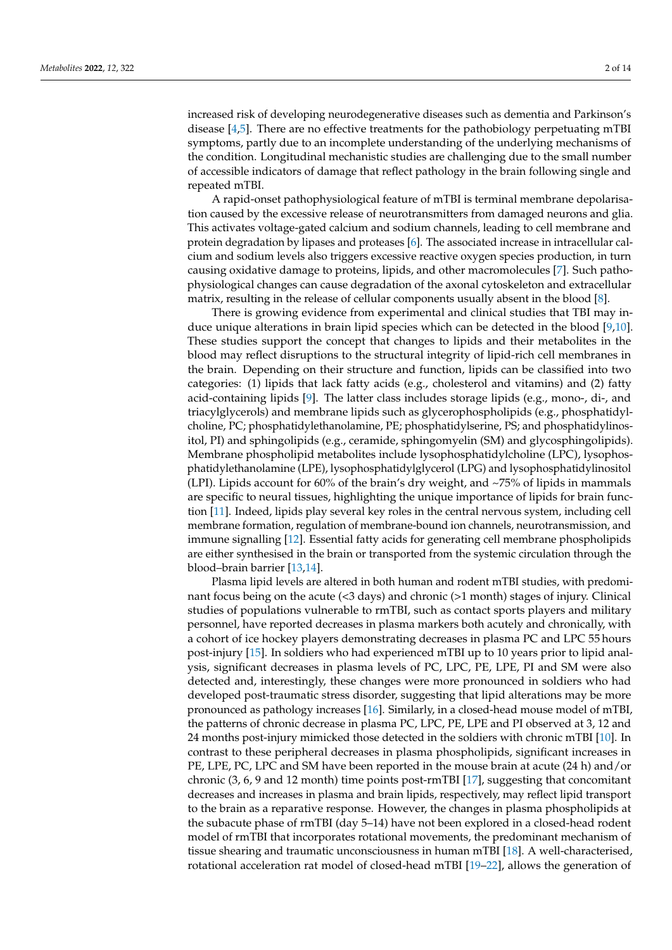increased risk of developing neurodegenerative diseases such as dementia and Parkinson's disease  $[4,5]$  $[4,5]$ . There are no effective treatments for the pathobiology perpetuating mTBI symptoms, partly due to an incomplete understanding of the underlying mechanisms of the condition. Longitudinal mechanistic studies are challenging due to the small number of accessible indicators of damage that reflect pathology in the brain following single and repeated mTBI.

A rapid-onset pathophysiological feature of mTBI is terminal membrane depolarisation caused by the excessive release of neurotransmitters from damaged neurons and glia. This activates voltage-gated calcium and sodium channels, leading to cell membrane and protein degradation by lipases and proteases [\[6\]](#page-11-5). The associated increase in intracellular calcium and sodium levels also triggers excessive reactive oxygen species production, in turn causing oxidative damage to proteins, lipids, and other macromolecules [\[7\]](#page-11-6). Such pathophysiological changes can cause degradation of the axonal cytoskeleton and extracellular matrix, resulting in the release of cellular components usually absent in the blood [\[8\]](#page-11-7).

There is growing evidence from experimental and clinical studies that TBI may induce unique alterations in brain lipid species which can be detected in the blood [\[9,](#page-11-8)[10\]](#page-11-9). These studies support the concept that changes to lipids and their metabolites in the blood may reflect disruptions to the structural integrity of lipid-rich cell membranes in the brain. Depending on their structure and function, lipids can be classified into two categories: (1) lipids that lack fatty acids (e.g., cholesterol and vitamins) and (2) fatty acid-containing lipids [\[9\]](#page-11-8). The latter class includes storage lipids (e.g., mono-, di-, and triacylglycerols) and membrane lipids such as glycerophospholipids (e.g., phosphatidylcholine, PC; phosphatidylethanolamine, PE; phosphatidylserine, PS; and phosphatidylinositol, PI) and sphingolipids (e.g., ceramide, sphingomyelin (SM) and glycosphingolipids). Membrane phospholipid metabolites include lysophosphatidylcholine (LPC), lysophosphatidylethanolamine (LPE), lysophosphatidylglycerol (LPG) and lysophosphatidylinositol (LPI). Lipids account for 60% of the brain's dry weight, and ~75% of lipids in mammals are specific to neural tissues, highlighting the unique importance of lipids for brain function [\[11\]](#page-11-10). Indeed, lipids play several key roles in the central nervous system, including cell membrane formation, regulation of membrane-bound ion channels, neurotransmission, and immune signalling [\[12\]](#page-11-11). Essential fatty acids for generating cell membrane phospholipids are either synthesised in the brain or transported from the systemic circulation through the blood–brain barrier [\[13,](#page-11-12)[14\]](#page-11-13).

Plasma lipid levels are altered in both human and rodent mTBI studies, with predominant focus being on the acute (<3 days) and chronic (>1 month) stages of injury. Clinical studies of populations vulnerable to rmTBI, such as contact sports players and military personnel, have reported decreases in plasma markers both acutely and chronically, with a cohort of ice hockey players demonstrating decreases in plasma PC and LPC 55 hours post-injury [\[15\]](#page-11-14). In soldiers who had experienced mTBI up to 10 years prior to lipid analysis, significant decreases in plasma levels of PC, LPC, PE, LPE, PI and SM were also detected and, interestingly, these changes were more pronounced in soldiers who had developed post-traumatic stress disorder, suggesting that lipid alterations may be more pronounced as pathology increases [\[16\]](#page-11-15). Similarly, in a closed-head mouse model of mTBI, the patterns of chronic decrease in plasma PC, LPC, PE, LPE and PI observed at 3, 12 and 24 months post-injury mimicked those detected in the soldiers with chronic mTBI [\[10\]](#page-11-9). In contrast to these peripheral decreases in plasma phospholipids, significant increases in PE, LPE, PC, LPC and SM have been reported in the mouse brain at acute (24 h) and/or chronic (3, 6, 9 and 12 month) time points post-rmTBI [\[17\]](#page-11-16), suggesting that concomitant decreases and increases in plasma and brain lipids, respectively, may reflect lipid transport to the brain as a reparative response. However, the changes in plasma phospholipids at the subacute phase of rmTBI (day 5–14) have not been explored in a closed-head rodent model of rmTBI that incorporates rotational movements, the predominant mechanism of tissue shearing and traumatic unconsciousness in human mTBI [\[18\]](#page-11-17). A well-characterised, rotational acceleration rat model of closed-head mTBI [\[19](#page-11-18)[–22\]](#page-11-19), allows the generation of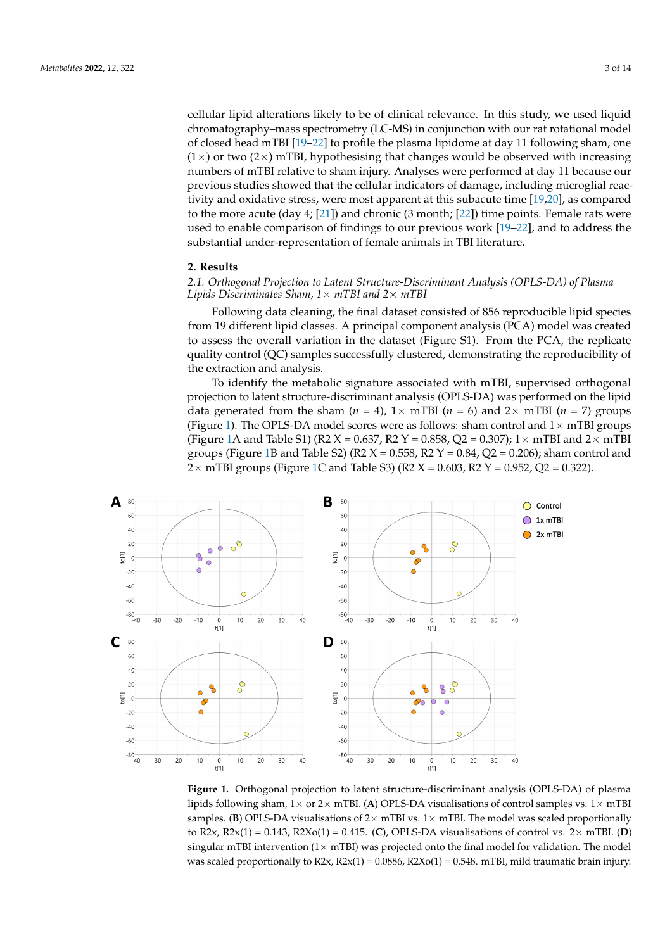cellular lipid alterations likely to be of clinical relevance. In this study, we used liquid chromatography–mass spectrometry (LC-MS) in conjunction with our rat rotational model of closed head mTBI [\[19–](#page-11-18)[22\]](#page-11-19) to profile the plasma lipidome at day 11 following sham, one  $(1\times)$  or two  $(2\times)$  mTBI, hypothesising that changes would be observed with increasing numbers of mTBI relative to sham injury. Analyses were performed at day 11 because our previous studies showed that the cellular indicators of damage, including microglial reactivity and oxidative stress, were most apparent at this subacute time [\[19](#page-11-18)[,20\]](#page-11-20), as compared to the more acute (day 4; [\[21\]](#page-11-21)) and chronic (3 month; [\[22\]](#page-11-19)) time points. Female rats were used to enable comparison of findings to our previous work [\[19–](#page-11-18)[22\]](#page-11-19), and to address the substantial under-representation of female animals in TBI literature.

# **2. Results**

# *2.1. Orthogonal Projection to Latent Structure-Discriminant Analysis (OPLS-DA) of Plasma Lipids Discriminates Sham, 1*× *mTBI and 2*× *mTBI*

Following data cleaning, the final dataset consisted of 856 reproducible lipid species from 19 different lipid classes. A principal component analysis (PCA) model was created to assess the overall variation in the dataset (Figure S1). From the PCA, the replicate quality control (QC) samples successfully clustered, demonstrating the reproducibility of the extraction and analysis.

To identify the metabolic signature associated with mTBI, supervised orthogonal projection to latent structure-discriminant analysis (OPLS-DA) was performed on the lipid data generated from the sham  $(n = 4)$ ,  $1 \times mTBI$  ( $n = 6$ ) and  $2 \times mTBI$  ( $n = 7$ ) groups (Figure [1\)](#page-2-0). The OPLS-DA model scores were as follows: sham control and  $1\times$  mTBI groups (Figure [1A](#page-2-0) and Table S1) (R2 X = 0.637, R2 Y = 0.858, Q2 = 0.307);  $1 \times$  mTBI and  $2 \times$  mTBI groups (Figure [1B](#page-2-0) and Table S2) ( $R2 X = 0.558$ ,  $R2 Y = 0.84$ ,  $Q2 = 0.206$ ); sham control and 2 $\times$  mTBI groups (Figure [1C](#page-2-0) and Table S3) (R2  $X = 0.603$ , R2  $Y = 0.952$ , Q2 = 0.322).

<span id="page-2-0"></span>

**Figure 1.** Orthogonal projection to latent structure-discriminant analysis (OPLS-DA) of plasma li-**Figure 1.** Orthogonal projection to latent structure-discriminant analysis (OPLS-DA) of plasma lipids following sham,  $1 \times$  or  $2 \times$  mTBI. (A) OPLS-DA visualisations of control samples vs.  $1 \times$  mTBI samples. (**B**) OPLS-DA visualisations of  $2 \times m$ TBI vs.  $1 \times m$ TBI. The model was scaled proportionally to R2x, R2x(1) = 0.143, R2Xo(1) = 0.415. (C), OPLS-DA visualisations of control vs.  $2 \times mTBL$  (D) singular mTBI intervention ( $1 \times m$ TBI) was projected onto the final model for validation. The model  $\frac{m_1}{2}$  and  $\frac{m_2}{2}$  in  $\frac{m_1}{2}$  and  $\frac{m_2}{2}$  (1)  $\frac{m_1}{2}$  and  $\frac{m_2}{2}$  in  $\frac{m_1}{2}$  in  $\frac{m_2}{2}$  in  $\frac{m_1}{2}$  in  $\frac{m_2}{2}$  in  $\frac{m_1}{2}$  in  $\frac{m_2}{2}$  in  $\frac{m_1}{2}$  in  $\frac{m_2}{2}$  in  $\frac{m_1$ was scaled proportionally to  $R2x$ ,  $R2x(1) = 0.0886$ ,  $R2Xo(1) = 0.548$ . mTBI, mild traumatic brain injury.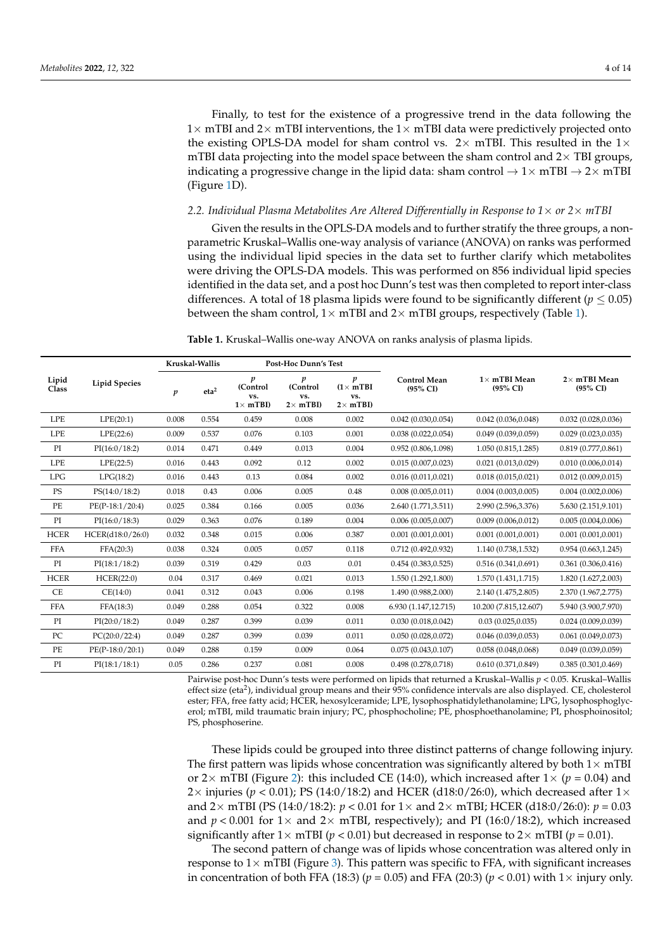Finally, to test for the existence of a progressive trend in the data following the  $1\times$  mTBI and  $2\times$  mTBI interventions, the  $1\times$  mTBI data were predictively projected onto the existing OPLS-DA model for sham control vs.  $2 \times mTBI$ . This resulted in the  $1 \times$ mTBI data projecting into the model space between the sham control and  $2\times$  TBI groups, indicating a progressive change in the lipid data: sham control  $\rightarrow 1 \times mTBI \rightarrow 2 \times mTBI$ (Figure [1D](#page-2-0)).

#### 2.2. Individual Plasma Metabolites Are Altered Differentially in Response to  $1\times$  or  $2\times$  *mTBI*

Given the results in the OPLS-DA models and to further stratify the three groups, a nonparametric Kruskal–Wallis one-way analysis of variance (ANOVA) on ranks was performed using the individual lipid species in the data set to further clarify which metabolites were driving the OPLS-DA models. This was performed on 856 individual lipid species identified in the data set, and a post hoc Dunn's test was then completed to report inter-class differences. A total of 18 plasma lipids were found to be significantly different ( $p \leq 0.05$ ) between the sham control,  $1 \times mTBI$  and  $2 \times mTBI$  groups, respectively (Table [1\)](#page-3-0).

<span id="page-3-0"></span>**Table 1.** Kruskal–Wallis one-way ANOVA on ranks analysis of plasma lipids.

|                | <b>Lipid Species</b> | Kruskal-Wallis   |                  | <b>Post-Hoc Dunn's Test</b>             |                                         |                                                  |                                 |                                 |                                   |
|----------------|----------------------|------------------|------------------|-----------------------------------------|-----------------------------------------|--------------------------------------------------|---------------------------------|---------------------------------|-----------------------------------|
| Lipid<br>Class |                      | $\boldsymbol{p}$ | eta <sup>2</sup> | p<br>(Control<br>VS.<br>$1 \times mTBI$ | p<br>(Control<br>vs.<br>$2 \times mTBI$ | p<br>$(1 \times mTBI)$<br>VS.<br>$2 \times mTBI$ | <b>Control Mean</b><br>(95% CI) | $1\times$ mTBI Mean<br>(95% CI) | $2\times$ mTBI Mean<br>$(95\%$ CI |
| <b>LPE</b>     | LPE(20:1)            | 0.008            | 0.554            | 0.459                                   | 0.008                                   | 0.002                                            | 0.042(0.030, 0.054)             | 0.042(0.036, 0.048)             | 0.032(0.028, 0.036)               |
| <b>LPE</b>     | LPE(22:6)            | 0.009            | 0.537            | 0.076                                   | 0.103                                   | 0.001                                            | 0.038(0.022, 0.054)             | 0.049(0.039, 0.059)             | 0.029(0.023, 0.035)               |
| PI             | PI(16:0/18:2)        | 0.014            | 0.471            | 0.449                                   | 0.013                                   | 0.004                                            | 0.952(0.806, 1.098)             | 1.050 (0.815,1.285)             | 0.819(0.777, 0.861)               |
| <b>LPE</b>     | LPE(22:5)            | 0.016            | 0.443            | 0.092                                   | 0.12                                    | 0.002                                            | 0.015(0.007, 0.023)             | 0.021(0.013, 0.029)             | 0.010(0.006, 0.014)               |
| LPG            | LPG(18:2)            | 0.016            | 0.443            | 0.13                                    | 0.084                                   | 0.002                                            | 0.016(0.011, 0.021)             | 0.018(0.015, 0.021)             | 0.012(0.009, 0.015)               |
| PS             | PS(14:0/18:2)        | 0.018            | 0.43             | 0.006                                   | 0.005                                   | 0.48                                             | 0.008(0.005, 0.011)             | 0.004(0.003, 0.005)             | 0.004(0.002, 0.006)               |
| PE             | $PE(P-18:1/20:4)$    | 0.025            | 0.384            | 0.166                                   | 0.005                                   | 0.036                                            | 2.640 (1.771,3.511)             | 2.990 (2.596,3.376)             | 5.630 (2.151,9.101)               |
| PI             | PI(16:0/18:3)        | 0.029            | 0.363            | 0.076                                   | 0.189                                   | 0.004                                            | 0.006(0.005, 0.007)             | 0.009(0.006, 0.012)             | 0.005(0.004, 0.006)               |
| <b>HCER</b>    | HCER(d18:0/26:0)     | 0.032            | 0.348            | 0.015                                   | 0.006                                   | 0.387                                            | 0.001(0.001, 0.001)             | 0.001(0.001, 0.001)             | 0.001(0.001, 0.001)               |
| <b>FFA</b>     | FFA(20:3)            | 0.038            | 0.324            | 0.005                                   | 0.057                                   | 0.118                                            | 0.712(0.492, 0.932)             | 1.140 (0.738,1.532)             | 0.954(0.663, 1.245)               |
| PI             | PI(18:1/18:2)        | 0.039            | 0.319            | 0.429                                   | 0.03                                    | 0.01                                             | 0.454(0.383, 0.525)             | 0.516(0.341, 0.691)             | 0.361(0.306, 0.416)               |
| <b>HCER</b>    | HCER(22:0)           | 0.04             | 0.317            | 0.469                                   | 0.021                                   | 0.013                                            | 1.550 (1.292,1.800)             | 1.570 (1.431,1.715)             | 1.820 (1.627,2.003)               |
| CE             | CE(14:0)             | 0.041            | 0.312            | 0.043                                   | 0.006                                   | 0.198                                            | 1.490 (0.988,2.000)             | 2.140 (1.475,2.805)             | 2.370 (1.967, 2.775)              |
| <b>FFA</b>     | FFA(18:3)            | 0.049            | 0.288            | 0.054                                   | 0.322                                   | 0.008                                            | 6.930 (1.147,12.715)            | 10.200 (7.815,12.607)           | 5.940 (3.900,7.970)               |
| PI             | PI(20:0/18:2)        | 0.049            | 0.287            | 0.399                                   | 0.039                                   | 0.011                                            | 0.030(0.018, 0.042)             | 0.03(0.025, 0.035)              | 0.024(0.009, 0.039)               |
| PC             | PC(20:0/22:4)        | 0.049            | 0.287            | 0.399                                   | 0.039                                   | 0.011                                            | 0.050(0.028, 0.072)             | 0.046(0.039, 0.053)             | 0.061(0.049, 0.073)               |
| PE             | $PE(P-18:0/20:1)$    | 0.049            | 0.288            | 0.159                                   | 0.009                                   | 0.064                                            | 0.075(0.043, 0.107)             | 0.058(0.048, 0.068)             | 0.049(0.039, 0.059)               |
| PI             | PI(18:1/18:1)        | 0.05             | 0.286            | 0.237                                   | 0.081                                   | 0.008                                            | 0.498(0.278, 0.718)             | 0.610(0.371, 0.849)             | 0.385(0.301, 0.469)               |

Pairwise post-hoc Dunn's tests were performed on lipids that returned a Kruskal–Wallis *p* < 0.05. Kruskal–Wallis effect size (eta<sup>2</sup>), individual group means and their 95% confidence intervals are also displayed. CE, cholesterol ester; FFA, free fatty acid; HCER, hexosylceramide; LPE, lysophosphatidylethanolamine; LPG, lysophosphoglycerol; mTBI, mild traumatic brain injury; PC, phosphocholine; PE, phosphoethanolamine; PI, phosphoinositol; PS, phosphoserine.

These lipids could be grouped into three distinct patterns of change following injury. The first pattern was lipids whose concentration was significantly altered by both  $1\times$  mTBI or  $2\times$  mTBI (Figure [2\)](#page-4-0): this included CE (14:0), which increased after  $1\times$  ( $p = 0.04$ ) and  $2\times$  injuries ( $p < 0.01$ ); PS (14:0/18:2) and HCER (d18:0/26:0), which decreased after  $1\times$ and 2× mTBI (PS (14:0/18:2): *p* < 0.01 for 1× and 2× mTBI; HCER (d18:0/26:0): *p* = 0.03 and  $p < 0.001$  for  $1 \times$  and  $2 \times$  mTBI, respectively); and PI (16:0/18:2), which increased significantly after  $1\times$  mTBI ( $p < 0.01$ ) but decreased in response to  $2\times$  mTBI ( $p = 0.01$ ).

The second pattern of change was of lipids whose concentration was altered only in response to  $1\times$  mTBI (Figure [3\)](#page-4-1). This pattern was specific to FFA, with significant increases in concentration of both FFA (18:3) ( $p = 0.05$ ) and FFA (20:3) ( $p < 0.01$ ) with  $1 \times$  injury only.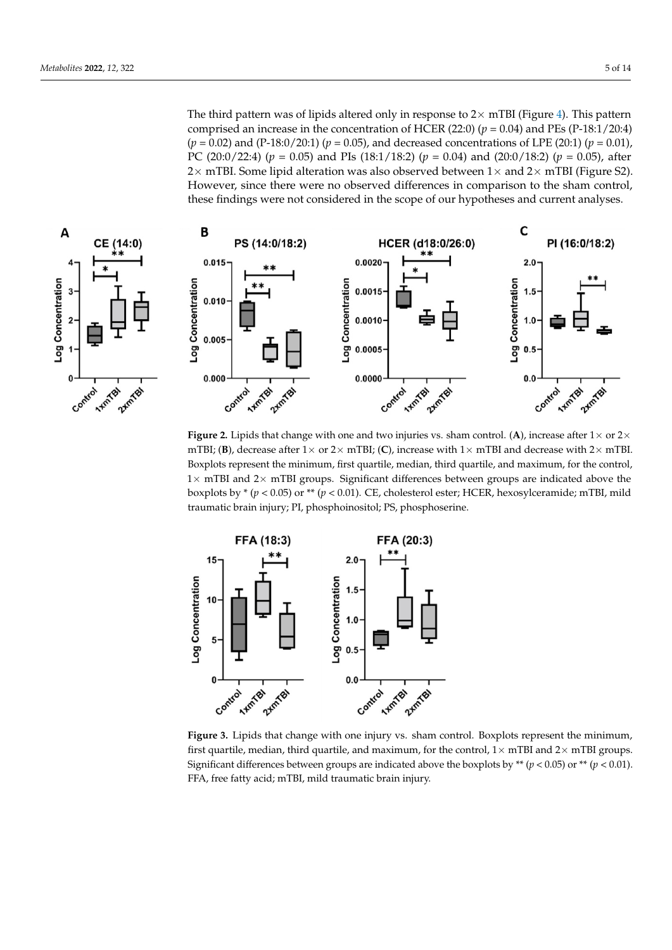<span id="page-4-0"></span>The third pattern was of lipids altered only in response to  $2\times$  mTBI (Figure [4\)](#page-5-0). This pattern comprised an increase in the concentration of HCER (22:0)  $(p = 0.04)$  and PEs (P-18:1/20:4)  $(p = 0.02)$  and (P-18:0/20:1) ( $p = 0.05$ ), and decreased concentrations of LPE (20:1) ( $p = 0.01$ ), PC (20:0/22:4) ( $p = 0.05$ ) and PIs (18:1/18:2) ( $p = 0.04$ ) and (20:0/18:2) ( $p = 0.05$ ), after  $2 \times$  mTBI. Some lipid alteration was also observed between  $1 \times$  and  $2 \times$  mTBI (Figure S2). However, since there were no observed differences in comparison to the sham control, these findings were not considered in the scope of our hypotheses and current analyses. The first pattern was lipids whose concentration was significantly altered by both 1× mTBI

These lipids could be grouped into the grouped into three distinct patterns of change for change for change for



Figure 2. Lipids that change with one and two injuries vs. sham control. (A), increase after  $1\times$  or  $2\times$ mTBI; (**B**), decrease after  $1 \times$  or  $2 \times$  mTBI; (**C**), increase with  $1 \times$  mTBI and decrease with  $2 \times$  mTBI.  $1 \times m$  TBI and  $2 \times m$  TBI groups. Significant differences between groups are indicated above the boxplots by  $*(p < 0.05)$  or  $** (p < 0.01)$ . CE, cholesterol ester; HCER, hexosylceramide; mTBI, mild traumatic brain injury; PI, phosphoinositol; PS, phosphoserine. Boxplots represent the minimum, first quartile, median, third quartile, and maximum, for the control,

<span id="page-4-1"></span>

**Figure 3.** Lipids that change with one injury vs. sham control. Boxplots represent the minimum, first first quartile, median, third quartile, and maximum, for the control, 1× mTBI and 2× mTBI groups. Significant differences between groups are indicated above the boxplots by  $**$  ( $p < 0.05$ ) or  $**$  ( $p < 0.01$ ). FFA, free fatty acid; mTBI, mild traumatic brain injury. **Figure 3.** Lipids that change with one injury vs. sham control. Boxplots represent the minimum,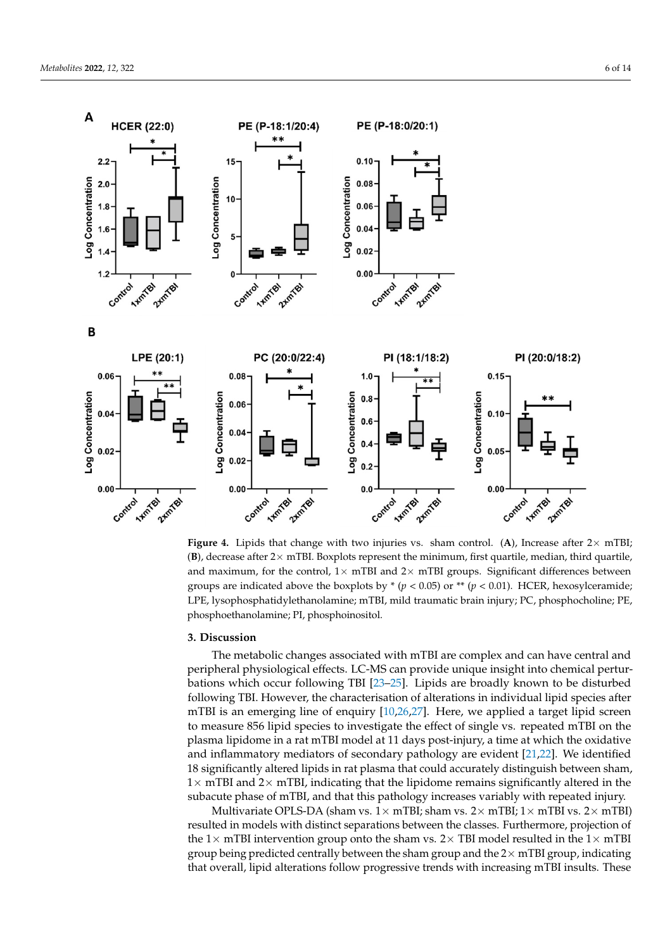<span id="page-5-0"></span>

 $(B)$ , decrease after 2 $\times$  mTBI. Boxplots represent the minimum, first quartile, median, third quartile, and maximum, for the control,  $1\times$  mTBI and  $2\times$  mTBI groups. Significant differences between groups are indicated above the boxplots by  $*(p < 0.05)$  or  $** (p < 0.01)$ . HCER, hexosylceramide; LPE, lysophosphatidylethanolamine; mTBI, mild traumatic brain injury; PC, phosphocholine; PE, phosphoethanolamine; PI, phosphoinositol. **Figure 4.** Lipids that change with two injuries vs. sham control. (A), Increase after  $2 \times mTBI$ ;

# phoethanolamine; PI, phosphoinositol. **3. Discussion**

FFA, free fatty acids acids acids acids acids to the property acids to the property of the property of the pro<br>The property of the property of the property of the property of the property of the property of the property o

bations which occur following TBI [\[23–](#page-12-0)[25\]](#page-12-1). Lipids are broadly known to be disturbed<br>
can be disturbed mTBI is an emerging line of enquiry  $[10,26,27]$  $[10,26,27]$  $[10,26,27]$ . Here, we applied a target lipid screen to measure 856 lipid species to investigate the effect of single vs. repeated mTBI on the plasma lipidome in a rat mTBI model at 11 days post-injury, a time at which the oxidative and inflammatory mediators of secondary pathology are evident  $[21,22]$  $[21,22]$ . We identified The metabolic changes associated with mTBI are complex and can have central and peripheral physiological effects. LC-MS can provide unique insight into chemical perturfollowing TBI. However, the characterisation of alterations in individual lipid species after 18 significantly altered lipids in rat plasma that could accurately distinguish between sham,  $1\times$  mTBI and  $2\times$  mTBI, indicating that the lipidome remains significantly altered in the subacute phase of mTBI, and that this pathology increases variably with repeated injury.

> Multivariate OPLS-DA (sham vs.  $1 \times m$ TBI; sham vs.  $2 \times m$ TBI;  $1 \times m$ TBI vs.  $2 \times m$ TBI) resulted in models with distinct separations between the classes. Furthermore, projection of the 1 $\times$  mTBI intervention group onto the sham vs. 2 $\times$  TBI model resulted in the 1 $\times$  mTBI group being predicted centrally between the sham group and the  $2\times$  mTBI group, indicating that overall, lipid alterations follow progressive trends with increasing mTBI insults. These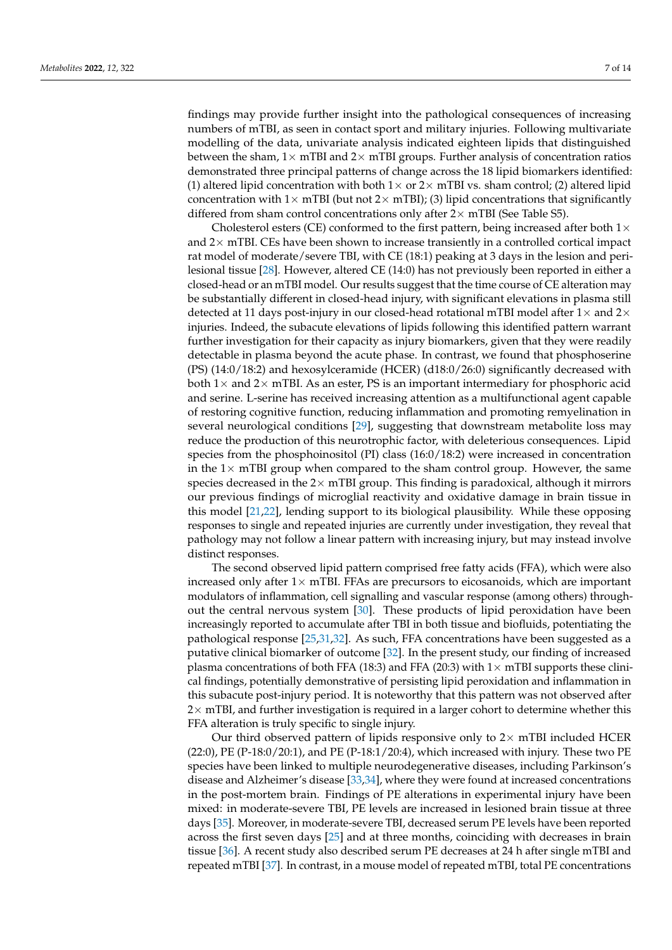findings may provide further insight into the pathological consequences of increasing numbers of mTBI, as seen in contact sport and military injuries. Following multivariate modelling of the data, univariate analysis indicated eighteen lipids that distinguished between the sham,  $1\times$  mTBI and  $2\times$  mTBI groups. Further analysis of concentration ratios demonstrated three principal patterns of change across the 18 lipid biomarkers identified: (1) altered lipid concentration with both  $1\times$  or  $2\times$  mTBI vs. sham control; (2) altered lipid concentration with  $1\times$  mTBI (but not  $2\times$  mTBI); (3) lipid concentrations that significantly differed from sham control concentrations only after  $2\times$  mTBI (See Table S5).

Cholesterol esters (CE) conformed to the first pattern, being increased after both  $1\times$ and  $2\times$  mTBI. CEs have been shown to increase transiently in a controlled cortical impact rat model of moderate/severe TBI, with CE (18:1) peaking at 3 days in the lesion and perilesional tissue [\[28\]](#page-12-4). However, altered CE (14:0) has not previously been reported in either a closed-head or an mTBI model. Our results suggest that the time course of CE alteration may be substantially different in closed-head injury, with significant elevations in plasma still detected at 11 days post-injury in our closed-head rotational mTBI model after  $1\times$  and  $2\times$ injuries. Indeed, the subacute elevations of lipids following this identified pattern warrant further investigation for their capacity as injury biomarkers, given that they were readily detectable in plasma beyond the acute phase. In contrast, we found that phosphoserine (PS) (14:0/18:2) and hexosylceramide (HCER) (d18:0/26:0) significantly decreased with both  $1\times$  and  $2\times$  mTBI. As an ester, PS is an important intermediary for phosphoric acid and serine. L-serine has received increasing attention as a multifunctional agent capable of restoring cognitive function, reducing inflammation and promoting remyelination in several neurological conditions [\[29\]](#page-12-5), suggesting that downstream metabolite loss may reduce the production of this neurotrophic factor, with deleterious consequences. Lipid species from the phosphoinositol (PI) class (16:0/18:2) were increased in concentration in the  $1\times$  mTBI group when compared to the sham control group. However, the same species decreased in the  $2\times$  mTBI group. This finding is paradoxical, although it mirrors our previous findings of microglial reactivity and oxidative damage in brain tissue in this model [\[21](#page-11-21)[,22\]](#page-11-19), lending support to its biological plausibility. While these opposing responses to single and repeated injuries are currently under investigation, they reveal that pathology may not follow a linear pattern with increasing injury, but may instead involve distinct responses.

The second observed lipid pattern comprised free fatty acids (FFA), which were also increased only after  $1\times$  mTBI. FFAs are precursors to eicosanoids, which are important modulators of inflammation, cell signalling and vascular response (among others) throughout the central nervous system [\[30\]](#page-12-6). These products of lipid peroxidation have been increasingly reported to accumulate after TBI in both tissue and biofluids, potentiating the pathological response [\[25](#page-12-1)[,31](#page-12-7)[,32\]](#page-12-8). As such, FFA concentrations have been suggested as a putative clinical biomarker of outcome [\[32\]](#page-12-8). In the present study, our finding of increased plasma concentrations of both FFA (18:3) and FFA (20:3) with  $1\times$  mTBI supports these clinical findings, potentially demonstrative of persisting lipid peroxidation and inflammation in this subacute post-injury period. It is noteworthy that this pattern was not observed after  $2\times$  mTBI, and further investigation is required in a larger cohort to determine whether this FFA alteration is truly specific to single injury.

Our third observed pattern of lipids responsive only to  $2\times$  mTBI included HCER (22:0), PE (P-18:0/20:1), and PE (P-18:1/20:4), which increased with injury. These two PE species have been linked to multiple neurodegenerative diseases, including Parkinson's disease and Alzheimer's disease [\[33,](#page-12-9)[34\]](#page-12-10), where they were found at increased concentrations in the post-mortem brain. Findings of PE alterations in experimental injury have been mixed: in moderate-severe TBI, PE levels are increased in lesioned brain tissue at three days [\[35\]](#page-12-11). Moreover, in moderate-severe TBI, decreased serum PE levels have been reported across the first seven days [\[25\]](#page-12-1) and at three months, coinciding with decreases in brain tissue [\[36\]](#page-12-12). A recent study also described serum PE decreases at 24 h after single mTBI and repeated mTBI [\[37\]](#page-12-13). In contrast, in a mouse model of repeated mTBI, total PE concentrations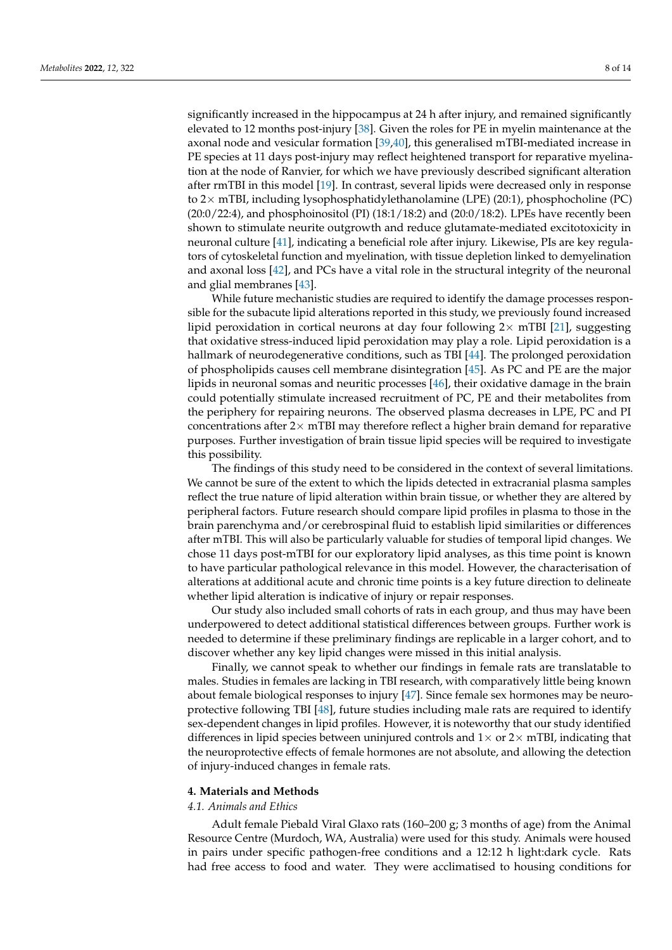significantly increased in the hippocampus at 24 h after injury, and remained significantly elevated to 12 months post-injury [\[38\]](#page-12-14). Given the roles for PE in myelin maintenance at the axonal node and vesicular formation [\[39](#page-12-15)[,40\]](#page-12-16), this generalised mTBI-mediated increase in PE species at 11 days post-injury may reflect heightened transport for reparative myelination at the node of Ranvier, for which we have previously described significant alteration after rmTBI in this model [\[19\]](#page-11-18). In contrast, several lipids were decreased only in response to 2× mTBI, including lysophosphatidylethanolamine (LPE) (20:1), phosphocholine (PC) (20:0/22:4), and phosphoinositol (PI) (18:1/18:2) and (20:0/18:2). LPEs have recently been shown to stimulate neurite outgrowth and reduce glutamate-mediated excitotoxicity in neuronal culture [\[41\]](#page-12-17), indicating a beneficial role after injury. Likewise, PIs are key regulators of cytoskeletal function and myelination, with tissue depletion linked to demyelination and axonal loss [\[42\]](#page-12-18), and PCs have a vital role in the structural integrity of the neuronal and glial membranes [\[43\]](#page-12-19).

While future mechanistic studies are required to identify the damage processes responsible for the subacute lipid alterations reported in this study, we previously found increased lipid peroxidation in cortical neurons at day four following  $2\times$  mTBI [\[21\]](#page-11-21), suggesting that oxidative stress-induced lipid peroxidation may play a role. Lipid peroxidation is a hallmark of neurodegenerative conditions, such as TBI [\[44\]](#page-13-0). The prolonged peroxidation of phospholipids causes cell membrane disintegration [\[45\]](#page-13-1). As PC and PE are the major lipids in neuronal somas and neuritic processes [\[46\]](#page-13-2), their oxidative damage in the brain could potentially stimulate increased recruitment of PC, PE and their metabolites from the periphery for repairing neurons. The observed plasma decreases in LPE, PC and PI concentrations after  $2\times$  mTBI may therefore reflect a higher brain demand for reparative purposes. Further investigation of brain tissue lipid species will be required to investigate this possibility.

The findings of this study need to be considered in the context of several limitations. We cannot be sure of the extent to which the lipids detected in extracranial plasma samples reflect the true nature of lipid alteration within brain tissue, or whether they are altered by peripheral factors. Future research should compare lipid profiles in plasma to those in the brain parenchyma and/or cerebrospinal fluid to establish lipid similarities or differences after mTBI. This will also be particularly valuable for studies of temporal lipid changes. We chose 11 days post-mTBI for our exploratory lipid analyses, as this time point is known to have particular pathological relevance in this model. However, the characterisation of alterations at additional acute and chronic time points is a key future direction to delineate whether lipid alteration is indicative of injury or repair responses.

Our study also included small cohorts of rats in each group, and thus may have been underpowered to detect additional statistical differences between groups. Further work is needed to determine if these preliminary findings are replicable in a larger cohort, and to discover whether any key lipid changes were missed in this initial analysis.

Finally, we cannot speak to whether our findings in female rats are translatable to males. Studies in females are lacking in TBI research, with comparatively little being known about female biological responses to injury [\[47\]](#page-13-3). Since female sex hormones may be neuroprotective following TBI [\[48\]](#page-13-4), future studies including male rats are required to identify sex-dependent changes in lipid profiles. However, it is noteworthy that our study identified differences in lipid species between uninjured controls and  $1\times$  or  $2\times$  mTBI, indicating that the neuroprotective effects of female hormones are not absolute, and allowing the detection of injury-induced changes in female rats.

#### **4. Materials and Methods**

# *4.1. Animals and Ethics*

Adult female Piebald Viral Glaxo rats (160–200 g; 3 months of age) from the Animal Resource Centre (Murdoch, WA, Australia) were used for this study. Animals were housed in pairs under specific pathogen-free conditions and a 12:12 h light:dark cycle. Rats had free access to food and water. They were acclimatised to housing conditions for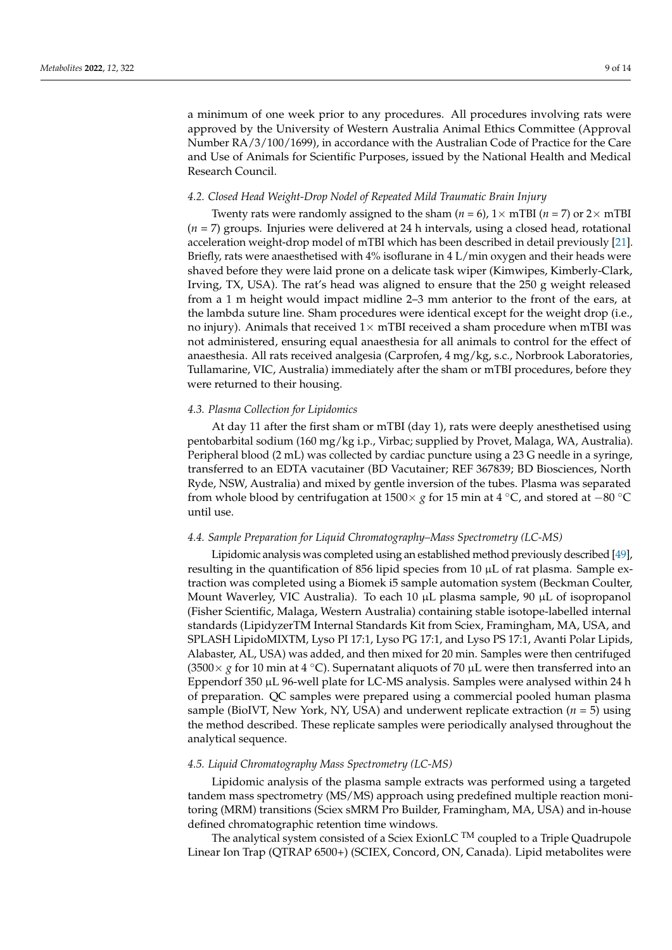a minimum of one week prior to any procedures. All procedures involving rats were approved by the University of Western Australia Animal Ethics Committee (Approval Number RA/3/100/1699), in accordance with the Australian Code of Practice for the Care and Use of Animals for Scientific Purposes, issued by the National Health and Medical Research Council.

#### *4.2. Closed Head Weight-Drop Nodel of Repeated Mild Traumatic Brain Injury*

Twenty rats were randomly assigned to the sham ( $n = 6$ ),  $1 \times mTBI$  ( $n = 7$ ) or  $2 \times mTBI$ (*n* = 7) groups. Injuries were delivered at 24 h intervals, using a closed head, rotational acceleration weight-drop model of mTBI which has been described in detail previously [\[21\]](#page-11-21). Briefly, rats were anaesthetised with 4% isoflurane in 4 L/min oxygen and their heads were shaved before they were laid prone on a delicate task wiper (Kimwipes, Kimberly-Clark, Irving, TX, USA). The rat's head was aligned to ensure that the 250 g weight released from a 1 m height would impact midline 2–3 mm anterior to the front of the ears, at the lambda suture line. Sham procedures were identical except for the weight drop (i.e., no injury). Animals that received  $1 \times mTBI$  received a sham procedure when mTBI was not administered, ensuring equal anaesthesia for all animals to control for the effect of anaesthesia. All rats received analgesia (Carprofen, 4 mg/kg, s.c., Norbrook Laboratories, Tullamarine, VIC, Australia) immediately after the sham or mTBI procedures, before they were returned to their housing.

#### *4.3. Plasma Collection for Lipidomics*

At day 11 after the first sham or mTBI (day 1), rats were deeply anesthetised using pentobarbital sodium (160 mg/kg i.p., Virbac; supplied by Provet, Malaga, WA, Australia). Peripheral blood (2 mL) was collected by cardiac puncture using a 23 G needle in a syringe, transferred to an EDTA vacutainer (BD Vacutainer; REF 367839; BD Biosciences, North Ryde, NSW, Australia) and mixed by gentle inversion of the tubes. Plasma was separated from whole blood by centrifugation at 1500× *g* for 15 min at 4 °C, and stored at –80 °C until use.

#### *4.4. Sample Preparation for Liquid Chromatography–Mass Spectrometry (LC-MS)*

Lipidomic analysis was completed using an established method previously described [\[49\]](#page-13-5), resulting in the quantification of 856 lipid species from 10  $\mu$ L of rat plasma. Sample extraction was completed using a Biomek i5 sample automation system (Beckman Coulter, Mount Waverley, VIC Australia). To each 10  $\mu$ L plasma sample, 90  $\mu$ L of isopropanol (Fisher Scientific, Malaga, Western Australia) containing stable isotope-labelled internal standards (LipidyzerTM Internal Standards Kit from Sciex, Framingham, MA, USA, and SPLASH LipidoMIXTM, Lyso PI 17:1, Lyso PG 17:1, and Lyso PS 17:1, Avanti Polar Lipids, Alabaster, AL, USA) was added, and then mixed for 20 min. Samples were then centrifuged (3500× *g* for 10 min at 4 ◦C). Supernatant aliquots of 70 µL were then transferred into an Eppendorf 350 µL 96-well plate for LC-MS analysis. Samples were analysed within 24 h of preparation. QC samples were prepared using a commercial pooled human plasma sample (BioIVT, New York, NY, USA) and underwent replicate extraction (*n* = 5) using the method described. These replicate samples were periodically analysed throughout the analytical sequence.

# *4.5. Liquid Chromatography Mass Spectrometry (LC-MS)*

Lipidomic analysis of the plasma sample extracts was performed using a targeted tandem mass spectrometry (MS/MS) approach using predefined multiple reaction monitoring (MRM) transitions (Sciex sMRM Pro Builder, Framingham, MA, USA) and in-house defined chromatographic retention time windows.

The analytical system consisted of a Sciex ExionLC  $^{TM}$  coupled to a Triple Quadrupole Linear Ion Trap (QTRAP 6500+) (SCIEX, Concord, ON, Canada). Lipid metabolites were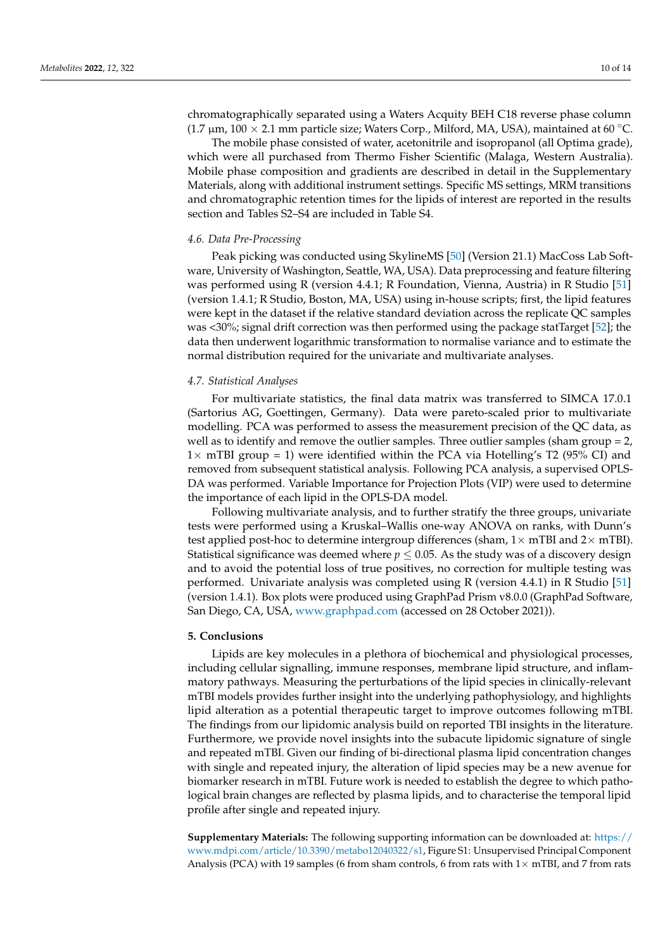chromatographically separated using a Waters Acquity BEH C18 reverse phase column (1.7  $\mu$ m, 100 × 2.1 mm particle size; Waters Corp., Milford, MA, USA), maintained at 60 °C.

The mobile phase consisted of water, acetonitrile and isopropanol (all Optima grade), which were all purchased from Thermo Fisher Scientific (Malaga, Western Australia). Mobile phase composition and gradients are described in detail in the Supplementary Materials, along with additional instrument settings. Specific MS settings, MRM transitions and chromatographic retention times for the lipids of interest are reported in the results section and Tables S2–S4 are included in Table S4.

#### *4.6. Data Pre-Processing*

Peak picking was conducted using SkylineMS [\[50\]](#page-13-6) (Version 21.1) MacCoss Lab Software, University of Washington, Seattle, WA, USA). Data preprocessing and feature filtering was performed using R (version 4.4.1; R Foundation, Vienna, Austria) in R Studio [\[51\]](#page-13-7) (version 1.4.1; R Studio, Boston, MA, USA) using in-house scripts; first, the lipid features were kept in the dataset if the relative standard deviation across the replicate QC samples was <30%; signal drift correction was then performed using the package statTarget [\[52\]](#page-13-8); the data then underwent logarithmic transformation to normalise variance and to estimate the normal distribution required for the univariate and multivariate analyses.

#### *4.7. Statistical Analyses*

For multivariate statistics, the final data matrix was transferred to SIMCA 17.0.1 (Sartorius AG, Goettingen, Germany). Data were pareto-scaled prior to multivariate modelling. PCA was performed to assess the measurement precision of the QC data, as well as to identify and remove the outlier samples. Three outlier samples (sham group = 2,  $1\times$  mTBI group = 1) were identified within the PCA via Hotelling's T2 (95% CI) and removed from subsequent statistical analysis. Following PCA analysis, a supervised OPLS-DA was performed. Variable Importance for Projection Plots (VIP) were used to determine the importance of each lipid in the OPLS-DA model.

Following multivariate analysis, and to further stratify the three groups, univariate tests were performed using a Kruskal–Wallis one-way ANOVA on ranks, with Dunn's test applied post-hoc to determine intergroup differences (sham,  $1\times$  mTBI and  $2\times$  mTBI). Statistical significance was deemed where  $p \leq 0.05$ . As the study was of a discovery design and to avoid the potential loss of true positives, no correction for multiple testing was performed. Univariate analysis was completed using R (version 4.4.1) in R Studio [\[51\]](#page-13-7) (version 1.4.1). Box plots were produced using GraphPad Prism v8.0.0 (GraphPad Software, San Diego, CA, USA, <www.graphpad.com> (accessed on 28 October 2021)).

#### **5. Conclusions**

Lipids are key molecules in a plethora of biochemical and physiological processes, including cellular signalling, immune responses, membrane lipid structure, and inflammatory pathways. Measuring the perturbations of the lipid species in clinically-relevant mTBI models provides further insight into the underlying pathophysiology, and highlights lipid alteration as a potential therapeutic target to improve outcomes following mTBI. The findings from our lipidomic analysis build on reported TBI insights in the literature. Furthermore, we provide novel insights into the subacute lipidomic signature of single and repeated mTBI. Given our finding of bi-directional plasma lipid concentration changes with single and repeated injury, the alteration of lipid species may be a new avenue for biomarker research in mTBI. Future work is needed to establish the degree to which pathological brain changes are reflected by plasma lipids, and to characterise the temporal lipid profile after single and repeated injury.

**Supplementary Materials:** The following supporting information can be downloaded at: [https://](https://www.mdpi.com/article/10.3390/metabo12040322/s1) [www.mdpi.com/article/10.3390/metabo12040322/s1,](https://www.mdpi.com/article/10.3390/metabo12040322/s1) Figure S1: Unsupervised Principal Component Analysis (PCA) with 19 samples (6 from sham controls, 6 from rats with  $1\times$  mTBI, and 7 from rats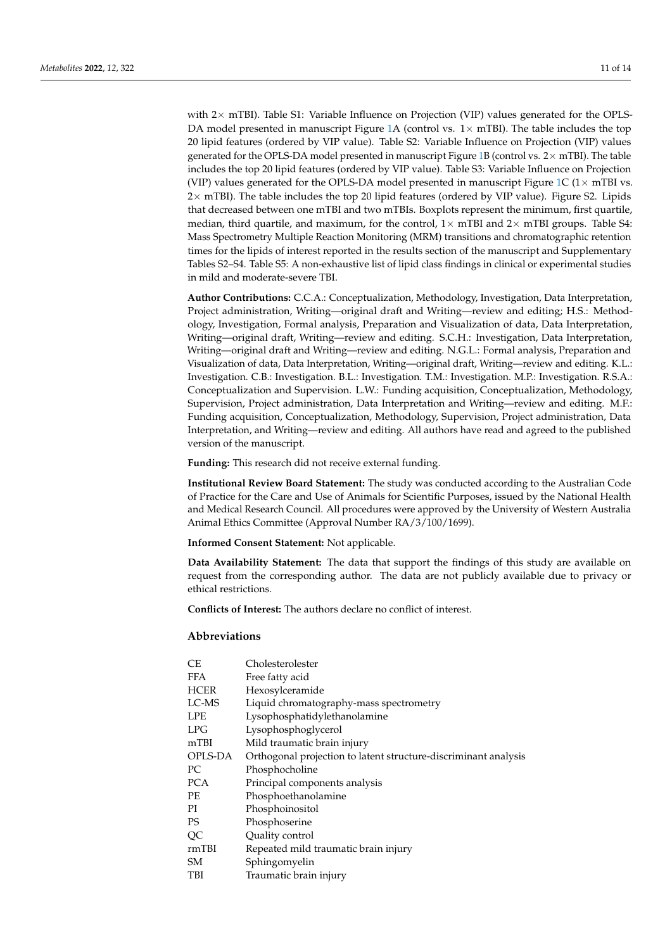with  $2\times$  mTBI). Table S1: Variable Influence on Projection (VIP) values generated for the OPLS-DA model presented in manuscript Figure [1A](#page-2-0) (control vs.  $1 \times$  mTBI). The table includes the top 20 lipid features (ordered by VIP value). Table S2: Variable Influence on Projection (VIP) values generated for the OPLS-DA model presented in manuscript Figure [1B](#page-2-0) (control vs.  $2 \times mTBI$ ). The table includes the top 20 lipid features (ordered by VIP value). Table S3: Variable Influence on Projection (VIP) values generated for the OPLS-DA model presented in manuscript Figure [1C](#page-2-0)  $(1 \times mTBI$  vs. 2× mTBI). The table includes the top 20 lipid features (ordered by VIP value). Figure S2. Lipids that decreased between one mTBI and two mTBIs. Boxplots represent the minimum, first quartile, median, third quartile, and maximum, for the control,  $1\times$  mTBI and  $2\times$  mTBI groups. Table S4: Mass Spectrometry Multiple Reaction Monitoring (MRM) transitions and chromatographic retention times for the lipids of interest reported in the results section of the manuscript and Supplementary Tables S2–S4. Table S5: A non-exhaustive list of lipid class findings in clinical or experimental studies in mild and moderate-severe TBI.

**Author Contributions:** C.C.A.: Conceptualization, Methodology, Investigation, Data Interpretation, Project administration, Writing—original draft and Writing—review and editing; H.S.: Methodology, Investigation, Formal analysis, Preparation and Visualization of data, Data Interpretation, Writing—original draft, Writing—review and editing. S.C.H.: Investigation, Data Interpretation, Writing—original draft and Writing—review and editing. N.G.L.: Formal analysis, Preparation and Visualization of data, Data Interpretation, Writing—original draft, Writing—review and editing. K.L.: Investigation. C.B.: Investigation. B.L.: Investigation. T.M.: Investigation. M.P.: Investigation. R.S.A.: Conceptualization and Supervision. L.W.: Funding acquisition, Conceptualization, Methodology, Supervision, Project administration, Data Interpretation and Writing—review and editing. M.F.: Funding acquisition, Conceptualization, Methodology, Supervision, Project administration, Data Interpretation, and Writing—review and editing. All authors have read and agreed to the published version of the manuscript.

**Funding:** This research did not receive external funding.

**Institutional Review Board Statement:** The study was conducted according to the Australian Code of Practice for the Care and Use of Animals for Scientific Purposes, issued by the National Health and Medical Research Council. All procedures were approved by the University of Western Australia Animal Ethics Committee (Approval Number RA/3/100/1699).

**Informed Consent Statement:** Not applicable.

**Data Availability Statement:** The data that support the findings of this study are available on request from the corresponding author. The data are not publicly available due to privacy or ethical restrictions.

**Conflicts of Interest:** The authors declare no conflict of interest.

# **Abbreviations**

| СE      | Cholesterolester                                                |
|---------|-----------------------------------------------------------------|
| FFA     | Free fatty acid                                                 |
| HCER    | Hexosylceramide                                                 |
| LC-MS   | Liquid chromatography-mass spectrometry                         |
| LPE     | Lysophosphatidylethanolamine                                    |
| LPG     | Lysophosphoglycerol                                             |
| mTBI    | Mild traumatic brain injury                                     |
| OPLS-DA | Orthogonal projection to latent structure-discriminant analysis |
| РC      | Phosphocholine                                                  |
| PCA     | Principal components analysis                                   |
| PЕ      | Phosphoethanolamine                                             |
| ΡI      | Phosphoinositol                                                 |
| PS      | Phosphoserine                                                   |
| QC      | Quality control                                                 |
| rmTBI   | Repeated mild traumatic brain injury                            |
| SМ      | Sphingomyelin                                                   |
| TBI     | Traumatic brain injury                                          |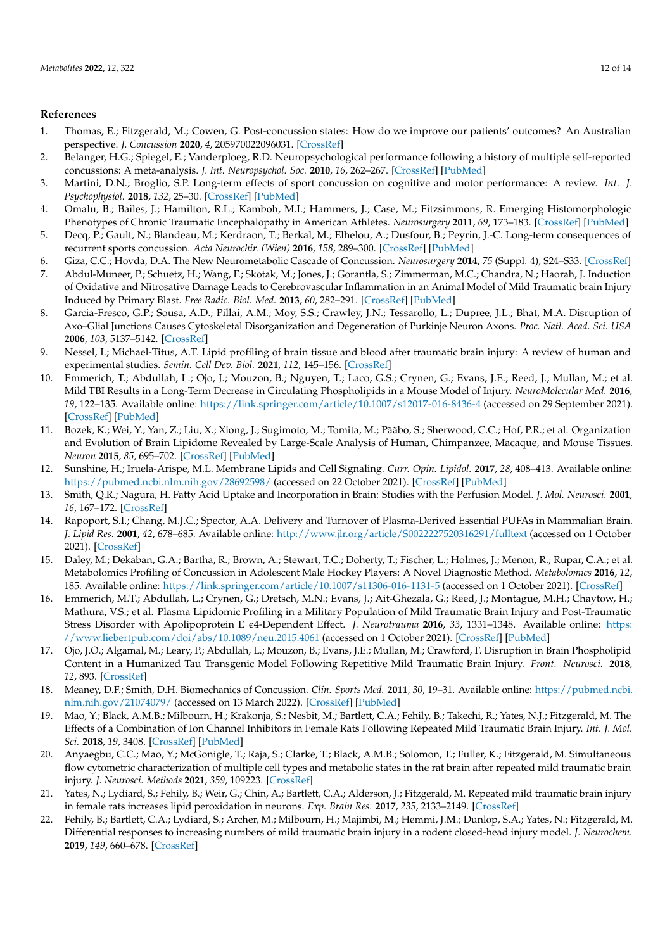# **References**

- <span id="page-11-0"></span>1. Thomas, E.; Fitzgerald, M.; Cowen, G. Post-concussion states: How do we improve our patients' outcomes? An Australian perspective. *J. Concussion* **2020**, *4*, 205970022096031. [\[CrossRef\]](http://doi.org/10.1177/2059700220960313)
- <span id="page-11-1"></span>2. Belanger, H.G.; Spiegel, E.; Vanderploeg, R.D. Neuropsychological performance following a history of multiple self-reported concussions: A meta-analysis. *J. Int. Neuropsychol. Soc.* **2010**, *16*, 262–267. [\[CrossRef\]](http://doi.org/10.1017/S1355617709991287) [\[PubMed\]](http://www.ncbi.nlm.nih.gov/pubmed/20003581)
- <span id="page-11-2"></span>3. Martini, D.N.; Broglio, S.P. Long-term effects of sport concussion on cognitive and motor performance: A review. *Int. J. Psychophysiol.* **2018**, *132*, 25–30. [\[CrossRef\]](http://doi.org/10.1016/j.ijpsycho.2017.09.019) [\[PubMed\]](http://www.ncbi.nlm.nih.gov/pubmed/29017781)
- <span id="page-11-3"></span>4. Omalu, B.; Bailes, J.; Hamilton, R.L.; Kamboh, M.I.; Hammers, J.; Case, M.; Fitzsimmons, R. Emerging Histomorphologic Phenotypes of Chronic Traumatic Encephalopathy in American Athletes. *Neurosurgery* **2011**, *69*, 173–183. [\[CrossRef\]](http://doi.org/10.1227/NEU.0b013e318212bc7b) [\[PubMed\]](http://www.ncbi.nlm.nih.gov/pubmed/21358359)
- <span id="page-11-4"></span>5. Decq, P.; Gault, N.; Blandeau, M.; Kerdraon, T.; Berkal, M.; Elhelou, A.; Dusfour, B.; Peyrin, J.-C. Long-term consequences of recurrent sports concussion. *Acta Neurochir. (Wien)* **2016**, *158*, 289–300. [\[CrossRef\]](http://doi.org/10.1007/s00701-015-2681-4) [\[PubMed\]](http://www.ncbi.nlm.nih.gov/pubmed/26711286)
- <span id="page-11-5"></span>6. Giza, C.C.; Hovda, D.A. The New Neurometabolic Cascade of Concussion. *Neurosurgery* **2014**, *75* (Suppl. 4), S24–S33. [\[CrossRef\]](http://doi.org/10.1227/NEU.0000000000000505)
- <span id="page-11-6"></span>7. Abdul-Muneer, P.; Schuetz, H.; Wang, F.; Skotak, M.; Jones, J.; Gorantla, S.; Zimmerman, M.C.; Chandra, N.; Haorah, J. Induction of Oxidative and Nitrosative Damage Leads to Cerebrovascular Inflammation in an Animal Model of Mild Traumatic brain Injury Induced by Primary Blast. *Free Radic. Biol. Med.* **2013**, *60*, 282–291. [\[CrossRef\]](http://doi.org/10.1016/j.freeradbiomed.2013.02.029) [\[PubMed\]](http://www.ncbi.nlm.nih.gov/pubmed/23466554)
- <span id="page-11-7"></span>8. Garcia-Fresco, G.P.; Sousa, A.D.; Pillai, A.M.; Moy, S.S.; Crawley, J.N.; Tessarollo, L.; Dupree, J.L.; Bhat, M.A. Disruption of Axo–Glial Junctions Causes Cytoskeletal Disorganization and Degeneration of Purkinje Neuron Axons. *Proc. Natl. Acad. Sci. USA* **2006**, *103*, 5137–5142. [\[CrossRef\]](http://doi.org/10.1073/pnas.0601082103)
- <span id="page-11-8"></span>9. Nessel, I.; Michael-Titus, A.T. Lipid profiling of brain tissue and blood after traumatic brain injury: A review of human and experimental studies. *Semin. Cell Dev. Biol.* **2021**, *112*, 145–156. [\[CrossRef\]](http://doi.org/10.1016/j.semcdb.2020.08.004)
- <span id="page-11-9"></span>10. Emmerich, T.; Abdullah, L.; Ojo, J.; Mouzon, B.; Nguyen, T.; Laco, G.S.; Crynen, G.; Evans, J.E.; Reed, J.; Mullan, M.; et al. Mild TBI Results in a Long-Term Decrease in Circulating Phospholipids in a Mouse Model of Injury. *NeuroMolecular Med.* **2016**, *19*, 122–135. Available online: <https://link.springer.com/article/10.1007/s12017-016-8436-4> (accessed on 29 September 2021). [\[CrossRef\]](http://doi.org/10.1007/s12017-016-8436-4) [\[PubMed\]](http://www.ncbi.nlm.nih.gov/pubmed/27540748)
- <span id="page-11-10"></span>11. Bozek, K.; Wei, Y.; Yan, Z.; Liu, X.; Xiong, J.; Sugimoto, M.; Tomita, M.; Pääbo, S.; Sherwood, C.C.; Hof, P.R.; et al. Organization and Evolution of Brain Lipidome Revealed by Large-Scale Analysis of Human, Chimpanzee, Macaque, and Mouse Tissues. *Neuron* **2015**, *85*, 695–702. [\[CrossRef\]](http://doi.org/10.1016/j.neuron.2015.01.003) [\[PubMed\]](http://www.ncbi.nlm.nih.gov/pubmed/25661180)
- <span id="page-11-11"></span>12. Sunshine, H.; Iruela-Arispe, M.L. Membrane Lipids and Cell Signaling. *Curr. Opin. Lipidol.* **2017**, *28*, 408–413. Available online: <https://pubmed.ncbi.nlm.nih.gov/28692598/> (accessed on 22 October 2021). [\[CrossRef\]](http://doi.org/10.1097/MOL.0000000000000443) [\[PubMed\]](http://www.ncbi.nlm.nih.gov/pubmed/28692598)
- <span id="page-11-12"></span>13. Smith, Q.R.; Nagura, H. Fatty Acid Uptake and Incorporation in Brain: Studies with the Perfusion Model. *J. Mol. Neurosci.* **2001**, *16*, 167–172. [\[CrossRef\]](http://doi.org/10.1385/JMN:16:2-3:167)
- <span id="page-11-13"></span>14. Rapoport, S.I.; Chang, M.J.C.; Spector, A.A. Delivery and Turnover of Plasma-Derived Essential PUFAs in Mammalian Brain. *J. Lipid Res.* **2001**, *42*, 678–685. Available online: <http://www.jlr.org/article/S0022227520316291/fulltext> (accessed on 1 October 2021). [\[CrossRef\]](http://doi.org/10.1016/S0022-2275(20)31629-1)
- <span id="page-11-14"></span>15. Daley, M.; Dekaban, G.A.; Bartha, R.; Brown, A.; Stewart, T.C.; Doherty, T.; Fischer, L.; Holmes, J.; Menon, R.; Rupar, C.A.; et al. Metabolomics Profiling of Concussion in Adolescent Male Hockey Players: A Novel Diagnostic Method. *Metabolomics* **2016**, *12*, 185. Available online: <https://link.springer.com/article/10.1007/s11306-016-1131-5> (accessed on 1 October 2021). [\[CrossRef\]](http://doi.org/10.1007/s11306-016-1131-5)
- <span id="page-11-15"></span>16. Emmerich, M.T.; Abdullah, L.; Crynen, G.; Dretsch, M.N.; Evans, J.; Ait-Ghezala, G.; Reed, J.; Montague, M.H.; Chaytow, H.; Mathura, V.S.; et al. Plasma Lipidomic Profiling in a Military Population of Mild Traumatic Brain Injury and Post-Traumatic Stress Disorder with Apolipoprotein E  $\epsilon$ 4-Dependent Effect. *J. Neurotrauma* 2016, 33, 1331-1348. Available online: [https:](https://www.liebertpub.com/doi/abs/10.1089/neu.2015.4061) [//www.liebertpub.com/doi/abs/10.1089/neu.2015.4061](https://www.liebertpub.com/doi/abs/10.1089/neu.2015.4061) (accessed on 1 October 2021). [\[CrossRef\]](http://doi.org/10.1089/neu.2015.4061) [\[PubMed\]](http://www.ncbi.nlm.nih.gov/pubmed/26714394)
- <span id="page-11-16"></span>17. Ojo, J.O.; Algamal, M.; Leary, P.; Abdullah, L.; Mouzon, B.; Evans, J.E.; Mullan, M.; Crawford, F. Disruption in Brain Phospholipid Content in a Humanized Tau Transgenic Model Following Repetitive Mild Traumatic Brain Injury. *Front. Neurosci.* **2018**, *12*, 893. [\[CrossRef\]](http://doi.org/10.3389/fnins.2018.00893)
- <span id="page-11-17"></span>18. Meaney, D.F.; Smith, D.H. Biomechanics of Concussion. *Clin. Sports Med.* **2011**, *30*, 19–31. Available online: [https://pubmed.ncbi.](https://pubmed.ncbi.nlm.nih.gov/21074079/) [nlm.nih.gov/21074079/](https://pubmed.ncbi.nlm.nih.gov/21074079/) (accessed on 13 March 2022). [\[CrossRef\]](http://doi.org/10.1016/j.csm.2010.08.009) [\[PubMed\]](http://www.ncbi.nlm.nih.gov/pubmed/21074079)
- <span id="page-11-18"></span>19. Mao, Y.; Black, A.M.B.; Milbourn, H.; Krakonja, S.; Nesbit, M.; Bartlett, C.A.; Fehily, B.; Takechi, R.; Yates, N.J.; Fitzgerald, M. The Effects of a Combination of Ion Channel Inhibitors in Female Rats Following Repeated Mild Traumatic Brain Injury. *Int. J. Mol. Sci.* **2018**, *19*, 3408. [\[CrossRef\]](http://doi.org/10.3390/ijms19113408) [\[PubMed\]](http://www.ncbi.nlm.nih.gov/pubmed/30384417)
- <span id="page-11-20"></span>20. Anyaegbu, C.C.; Mao, Y.; McGonigle, T.; Raja, S.; Clarke, T.; Black, A.M.B.; Solomon, T.; Fuller, K.; Fitzgerald, M. Simultaneous flow cytometric characterization of multiple cell types and metabolic states in the rat brain after repeated mild traumatic brain injury. *J. Neurosci. Methods* **2021**, *359*, 109223. [\[CrossRef\]](http://doi.org/10.1016/j.jneumeth.2021.109223)
- <span id="page-11-21"></span>21. Yates, N.; Lydiard, S.; Fehily, B.; Weir, G.; Chin, A.; Bartlett, C.A.; Alderson, J.; Fitzgerald, M. Repeated mild traumatic brain injury in female rats increases lipid peroxidation in neurons. *Exp. Brain Res.* **2017**, *235*, 2133–2149. [\[CrossRef\]](http://doi.org/10.1007/s00221-017-4958-8)
- <span id="page-11-19"></span>22. Fehily, B.; Bartlett, C.A.; Lydiard, S.; Archer, M.; Milbourn, H.; Majimbi, M.; Hemmi, J.M.; Dunlop, S.A.; Yates, N.; Fitzgerald, M. Differential responses to increasing numbers of mild traumatic brain injury in a rodent closed-head injury model. *J. Neurochem.* **2019**, *149*, 660–678. [\[CrossRef\]](http://doi.org/10.1111/jnc.14673)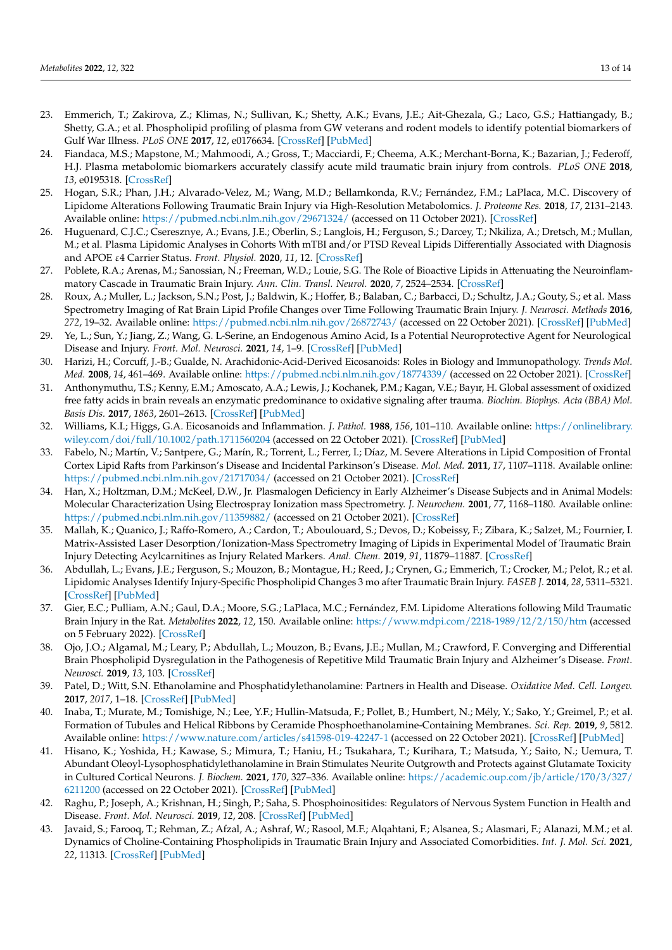- <span id="page-12-0"></span>23. Emmerich, T.; Zakirova, Z.; Klimas, N.; Sullivan, K.; Shetty, A.K.; Evans, J.E.; Ait-Ghezala, G.; Laco, G.S.; Hattiangady, B.; Shetty, G.A.; et al. Phospholipid profiling of plasma from GW veterans and rodent models to identify potential biomarkers of Gulf War Illness. *PLoS ONE* **2017**, *12*, e0176634. [\[CrossRef\]](http://doi.org/10.1371/journal.pone.0176634) [\[PubMed\]](http://www.ncbi.nlm.nih.gov/pubmed/28453542)
- 24. Fiandaca, M.S.; Mapstone, M.; Mahmoodi, A.; Gross, T.; Macciardi, F.; Cheema, A.K.; Merchant-Borna, K.; Bazarian, J.; Federoff, H.J. Plasma metabolomic biomarkers accurately classify acute mild traumatic brain injury from controls. *PLoS ONE* **2018**, *13*, e0195318. [\[CrossRef\]](http://doi.org/10.1371/journal.pone.0195318)
- <span id="page-12-1"></span>25. Hogan, S.R.; Phan, J.H.; Alvarado-Velez, M.; Wang, M.D.; Bellamkonda, R.V.; Fernández, F.M.; LaPlaca, M.C. Discovery of Lipidome Alterations Following Traumatic Brain Injury via High-Resolution Metabolomics. *J. Proteome Res.* **2018**, *17*, 2131–2143. Available online: <https://pubmed.ncbi.nlm.nih.gov/29671324/> (accessed on 11 October 2021). [\[CrossRef\]](http://doi.org/10.1021/acs.jproteome.8b00068)
- <span id="page-12-2"></span>26. Huguenard, C.J.C.; Cseresznye, A.; Evans, J.E.; Oberlin, S.; Langlois, H.; Ferguson, S.; Darcey, T.; Nkiliza, A.; Dretsch, M.; Mullan, M.; et al. Plasma Lipidomic Analyses in Cohorts With mTBI and/or PTSD Reveal Lipids Differentially Associated with Diagnosis and APOE ε4 Carrier Status. *Front. Physiol.* **2020**, *11*, 12. [\[CrossRef\]](http://doi.org/10.3389/fphys.2020.00012)
- <span id="page-12-3"></span>27. Poblete, R.A.; Arenas, M.; Sanossian, N.; Freeman, W.D.; Louie, S.G. The Role of Bioactive Lipids in Attenuating the Neuroinflammatory Cascade in Traumatic Brain Injury. *Ann. Clin. Transl. Neurol.* **2020**, *7*, 2524–2534. [\[CrossRef\]](http://doi.org/10.1002/acn3.51240)
- <span id="page-12-4"></span>28. Roux, A.; Muller, L.; Jackson, S.N.; Post, J.; Baldwin, K.; Hoffer, B.; Balaban, C.; Barbacci, D.; Schultz, J.A.; Gouty, S.; et al. Mass Spectrometry Imaging of Rat Brain Lipid Profile Changes over Time Following Traumatic Brain Injury. *J. Neurosci. Methods* **2016**, *272*, 19–32. Available online: <https://pubmed.ncbi.nlm.nih.gov/26872743/> (accessed on 22 October 2021). [\[CrossRef\]](http://doi.org/10.1016/j.jneumeth.2016.02.004) [\[PubMed\]](http://www.ncbi.nlm.nih.gov/pubmed/26872743)
- <span id="page-12-5"></span>29. Ye, L.; Sun, Y.; Jiang, Z.; Wang, G. L-Serine, an Endogenous Amino Acid, Is a Potential Neuroprotective Agent for Neurological Disease and Injury. *Front. Mol. Neurosci.* **2021**, *14*, 1–9. [\[CrossRef\]](http://doi.org/10.3389/fnmol.2021.726665) [\[PubMed\]](http://www.ncbi.nlm.nih.gov/pubmed/34552468)
- <span id="page-12-6"></span>30. Harizi, H.; Corcuff, J.-B.; Gualde, N. Arachidonic-Acid-Derived Eicosanoids: Roles in Biology and Immunopathology. *Trends Mol. Med.* **2008**, *14*, 461–469. Available online: <https://pubmed.ncbi.nlm.nih.gov/18774339/> (accessed on 22 October 2021). [\[CrossRef\]](http://doi.org/10.1016/j.molmed.2008.08.005)
- <span id="page-12-7"></span>31. Anthonymuthu, T.S.; Kenny, E.M.; Amoscato, A.A.; Lewis, J.; Kochanek, P.M.; Kagan, V.E.; Bayır, H. Global assessment of oxidized free fatty acids in brain reveals an enzymatic predominance to oxidative signaling after trauma. *Biochim. Biophys. Acta (BBA) Mol. Basis Dis.* **2017**, *1863*, 2601–2613. [\[CrossRef\]](http://doi.org/10.1016/j.bbadis.2017.03.015) [\[PubMed\]](http://www.ncbi.nlm.nih.gov/pubmed/28347845)
- <span id="page-12-8"></span>32. Williams, K.I.; Higgs, G.A. Eicosanoids and Inflammation. *J. Pathol.* **1988**, *156*, 101–110. Available online: [https://onlinelibrary.](https://onlinelibrary.wiley.com/doi/full/10.1002/path.1711560204) [wiley.com/doi/full/10.1002/path.1711560204](https://onlinelibrary.wiley.com/doi/full/10.1002/path.1711560204) (accessed on 22 October 2021). [\[CrossRef\]](http://doi.org/10.1002/path.1711560204) [\[PubMed\]](http://www.ncbi.nlm.nih.gov/pubmed/3058912)
- <span id="page-12-9"></span>33. Fabelo, N.; Martín, V.; Santpere, G.; Marín, R.; Torrent, L.; Ferrer, I.; Díaz, M. Severe Alterations in Lipid Composition of Frontal Cortex Lipid Rafts from Parkinson's Disease and Incidental Parkinson's Disease. *Mol. Med.* **2011**, *17*, 1107–1118. Available online: <https://pubmed.ncbi.nlm.nih.gov/21717034/> (accessed on 21 October 2021). [\[CrossRef\]](http://doi.org/10.2119/molmed.2011.00119)
- <span id="page-12-10"></span>34. Han, X.; Holtzman, D.M.; McKeel, D.W., Jr. Plasmalogen Deficiency in Early Alzheimer's Disease Subjects and in Animal Models: Molecular Characterization Using Electrospray Ionization mass Spectrometry. *J. Neurochem.* **2001**, *77*, 1168–1180. Available online: <https://pubmed.ncbi.nlm.nih.gov/11359882/> (accessed on 21 October 2021). [\[CrossRef\]](http://doi.org/10.1046/j.1471-4159.2001.00332.x)
- <span id="page-12-11"></span>35. Mallah, K.; Quanico, J.; Raffo-Romero, A.; Cardon, T.; Aboulouard, S.; Devos, D.; Kobeissy, F.; Zibara, K.; Salzet, M.; Fournier, I. Matrix-Assisted Laser Desorption/Ionization-Mass Spectrometry Imaging of Lipids in Experimental Model of Traumatic Brain Injury Detecting Acylcarnitines as Injury Related Markers. *Anal. Chem.* **2019**, *91*, 11879–11887. [\[CrossRef\]](http://doi.org/10.1021/acs.analchem.9b02633)
- <span id="page-12-12"></span>36. Abdullah, L.; Evans, J.E.; Ferguson, S.; Mouzon, B.; Montague, H.; Reed, J.; Crynen, G.; Emmerich, T.; Crocker, M.; Pelot, R.; et al. Lipidomic Analyses Identify Injury-Specific Phospholipid Changes 3 mo after Traumatic Brain Injury. *FASEB J.* **2014**, *28*, 5311–5321. [\[CrossRef\]](http://doi.org/10.1096/fj.14-258228) [\[PubMed\]](http://www.ncbi.nlm.nih.gov/pubmed/25208845)
- <span id="page-12-13"></span>37. Gier, E.C.; Pulliam, A.N.; Gaul, D.A.; Moore, S.G.; LaPlaca, M.C.; Fernández, F.M. Lipidome Alterations following Mild Traumatic Brain Injury in the Rat. *Metabolites* **2022**, *12*, 150. Available online: <https://www.mdpi.com/2218-1989/12/2/150/htm> (accessed on 5 February 2022). [\[CrossRef\]](http://doi.org/10.3390/metabo12020150)
- <span id="page-12-14"></span>38. Ojo, J.O.; Algamal, M.; Leary, P.; Abdullah, L.; Mouzon, B.; Evans, J.E.; Mullan, M.; Crawford, F. Converging and Differential Brain Phospholipid Dysregulation in the Pathogenesis of Repetitive Mild Traumatic Brain Injury and Alzheimer's Disease. *Front. Neurosci.* **2019**, *13*, 103. [\[CrossRef\]](http://doi.org/10.3389/fnins.2019.00103)
- <span id="page-12-15"></span>39. Patel, D.; Witt, S.N. Ethanolamine and Phosphatidylethanolamine: Partners in Health and Disease. *Oxidative Med. Cell. Longev.* **2017**, *2017*, 1–18. [\[CrossRef\]](http://doi.org/10.1155/2017/4829180) [\[PubMed\]](http://www.ncbi.nlm.nih.gov/pubmed/28785375)
- <span id="page-12-16"></span>40. Inaba, T.; Murate, M.; Tomishige, N.; Lee, Y.F.; Hullin-Matsuda, F.; Pollet, B.; Humbert, N.; Mély, Y.; Sako, Y.; Greimel, P.; et al. Formation of Tubules and Helical Ribbons by Ceramide Phosphoethanolamine-Containing Membranes. *Sci. Rep.* **2019**, *9*, 5812. Available online: <https://www.nature.com/articles/s41598-019-42247-1> (accessed on 22 October 2021). [\[CrossRef\]](http://doi.org/10.1038/s41598-019-42247-1) [\[PubMed\]](http://www.ncbi.nlm.nih.gov/pubmed/30967612)
- <span id="page-12-17"></span>41. Hisano, K.; Yoshida, H.; Kawase, S.; Mimura, T.; Haniu, H.; Tsukahara, T.; Kurihara, T.; Matsuda, Y.; Saito, N.; Uemura, T. Abundant Oleoyl-Lysophosphatidylethanolamine in Brain Stimulates Neurite Outgrowth and Protects against Glutamate Toxicity in Cultured Cortical Neurons. *J. Biochem.* **2021**, *170*, 327–336. Available online: [https://academic.oup.com/jb/article/170/3/327/](https://academic.oup.com/jb/article/170/3/327/6211200) [6211200](https://academic.oup.com/jb/article/170/3/327/6211200) (accessed on 22 October 2021). [\[CrossRef\]](http://doi.org/10.1093/jb/mvab046) [\[PubMed\]](http://www.ncbi.nlm.nih.gov/pubmed/33822960)
- <span id="page-12-18"></span>42. Raghu, P.; Joseph, A.; Krishnan, H.; Singh, P.; Saha, S. Phosphoinositides: Regulators of Nervous System Function in Health and Disease. *Front. Mol. Neurosci.* **2019**, *12*, 208. [\[CrossRef\]](http://doi.org/10.3389/fnmol.2019.00208) [\[PubMed\]](http://www.ncbi.nlm.nih.gov/pubmed/31507376)
- <span id="page-12-19"></span>43. Javaid, S.; Farooq, T.; Rehman, Z.; Afzal, A.; Ashraf, W.; Rasool, M.F.; Alqahtani, F.; Alsanea, S.; Alasmari, F.; Alanazi, M.M.; et al. Dynamics of Choline-Containing Phospholipids in Traumatic Brain Injury and Associated Comorbidities. *Int. J. Mol. Sci.* **2021**, *22*, 11313. [\[CrossRef\]](http://doi.org/10.3390/ijms222111313) [\[PubMed\]](http://www.ncbi.nlm.nih.gov/pubmed/34768742)